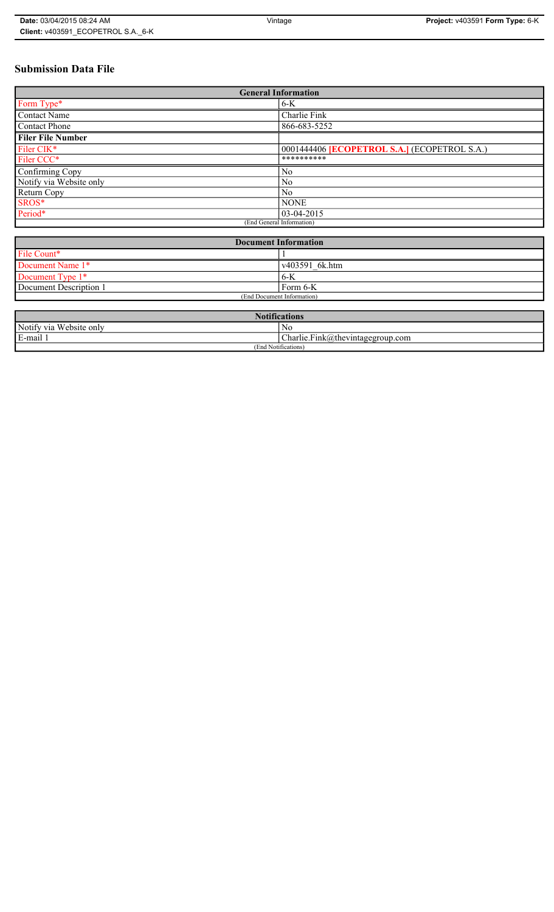# **Submission Data File**

| <b>General Information</b> |                                                     |  |
|----------------------------|-----------------------------------------------------|--|
| Form Type*                 | $6-K$                                               |  |
| <b>Contact Name</b>        | Charlie Fink                                        |  |
| <b>Contact Phone</b>       | 866-683-5252                                        |  |
| <b>Filer File Number</b>   |                                                     |  |
| Filer CIK*                 | 0001444406 <b>ECOPETROL S.A.</b> ] (ECOPETROL S.A.) |  |
| Filer CCC*                 | **********                                          |  |
| Confirming Copy            | N <sub>0</sub>                                      |  |
| Notify via Website only    | N <sub>0</sub>                                      |  |
| Return Copy                | N <sub>0</sub>                                      |  |
| SROS*                      | <b>NONE</b>                                         |  |
| Period*                    | $03-04-2015$                                        |  |
| (End General Information)  |                                                     |  |

| <b>Document Information</b> |                |
|-----------------------------|----------------|
| File Count*                 |                |
| Document Name 1*            | v403591_6k.htm |
| Document Type 1*            | 6-K            |
| Document Description 1      | Form 6-K       |
| (End Document Information)  |                |

| $\mathbf{M}$<br><b>Notifications</b> |                                      |
|--------------------------------------|--------------------------------------|
| Notify via Website only              | No                                   |
| E-mail                               | $ Charlie.Fink@$ thevintagegroup.com |
| (End Notifications)                  |                                      |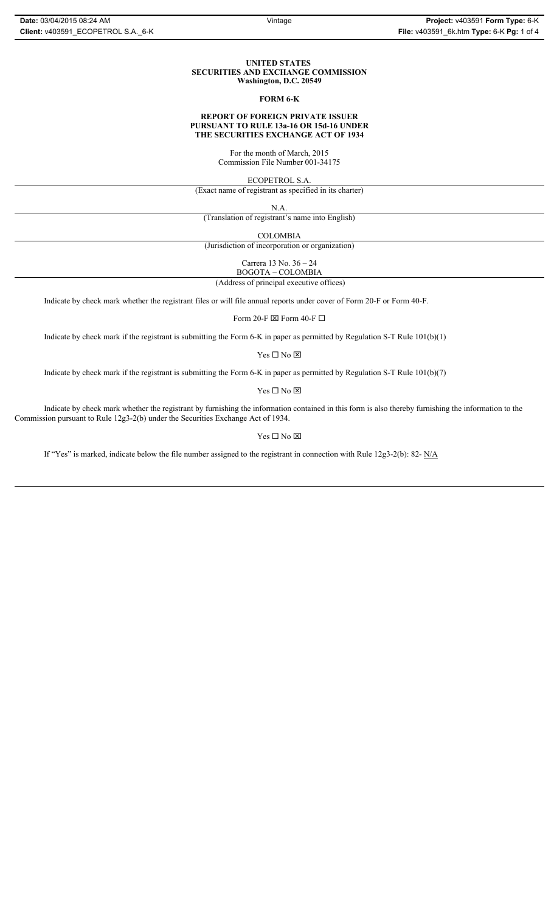#### **UNITED STATES SECURITIES AND EXCHANGE COMMISSION Washington, D.C. 20549**

### **FORM 6-K**

# **REPORT OF FOREIGN PRIVATE ISSUER PURSUANT TO RULE 13a-16 OR 15d-16 UNDER THE SECURITIES EXCHANGE ACT OF 1934**

For the month of March, 2015 Commission File Number 001-34175

ECOPETROL S.A.

(Exact name of registrant as specified in its charter)

N.A.

(Translation of registrant's name into English)

COLOMBIA

(Jurisdiction of incorporation or organization)

Carrera 13 No. 36 – 24 BOGOTA – COLOMBIA

(Address of principal executive offices)

Indicate by check mark whether the registrant files or will file annual reports under cover of Form 20-F or Form 40-F.

Form 20-F  $\boxtimes$  Form 40-F  $\Box$ 

Indicate by check mark if the registrant is submitting the Form 6-K in paper as permitted by Regulation S-T Rule 101(b)(1)

Yes $\Box$  No  $\boxtimes$ 

Indicate by check mark if the registrant is submitting the Form 6-K in paper as permitted by Regulation S-T Rule 101(b)(7)

Yes $\Box$  No  $\boxtimes$ 

Indicate by check mark whether the registrant by furnishing the information contained in this form is also thereby furnishing the information to the Commission pursuant to Rule 12g3-2(b) under the Securities Exchange Act of 1934.

# Yes $\Box$  No  $\boxtimes$

If "Yes" is marked, indicate below the file number assigned to the registrant in connection with Rule 12g3-2(b): 82- N/A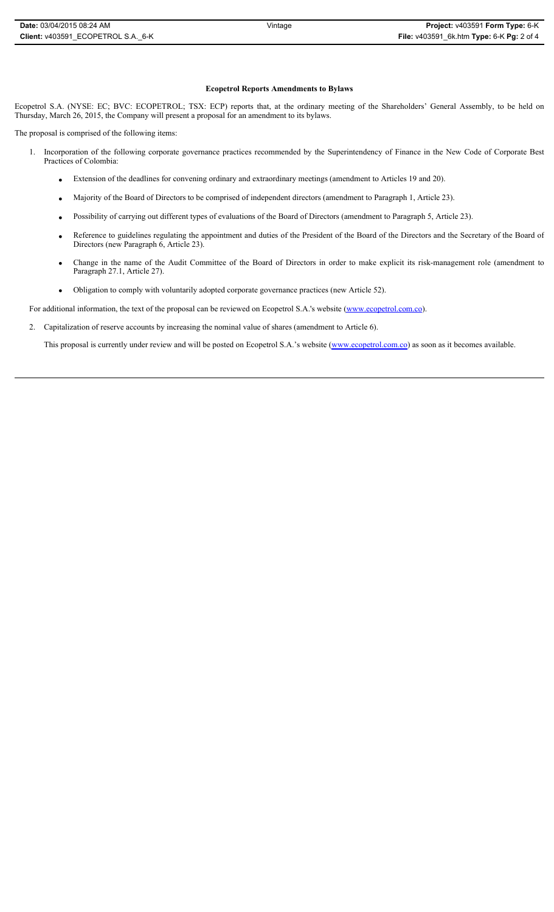### **Ecopetrol Reports Amendments to Bylaws**

Ecopetrol S.A. (NYSE: EC; BVC: ECOPETROL; TSX: ECP) reports that, at the ordinary meeting of the Shareholders' General Assembly, to be held on Thursday, March 26, 2015, the Company will present a proposal for an amendment to its bylaws.

The proposal is comprised of the following items:

- 1. Incorporation of the following corporate governance practices recommended by the Superintendency of Finance in the New Code of Corporate Best Practices of Colombia:
	- x Extension of the deadlines for convening ordinary and extraordinary meetings (amendment to Articles 19 and 20).
	- x Majority of the Board of Directors to be comprised of independent directors (amendment to Paragraph 1, Article 23).
	- Possibility of carrying out different types of evaluations of the Board of Directors (amendment to Paragraph 5, Article 23).
	- Reference to guidelines regulating the appointment and duties of the President of the Board of the Directors and the Secretary of the Board of Directors (new Paragraph 6, Article 23).
	- x Change in the name of the Audit Committee of the Board of Directors in order to make explicit its risk-management role (amendment to Paragraph 27.1, Article 27).
	- Obligation to comply with voluntarily adopted corporate governance practices (new Article 52).

For additional information, the text of the proposal can be reviewed on Ecopetrol S.A.'s website (www.ecopetrol.com.co).

2. Capitalization of reserve accounts by increasing the nominal value of shares (amendment to Article 6).

This proposal is currently under review and will be posted on Ecopetrol S.A.'s website (www.ecopetrol.com.co) as soon as it becomes available.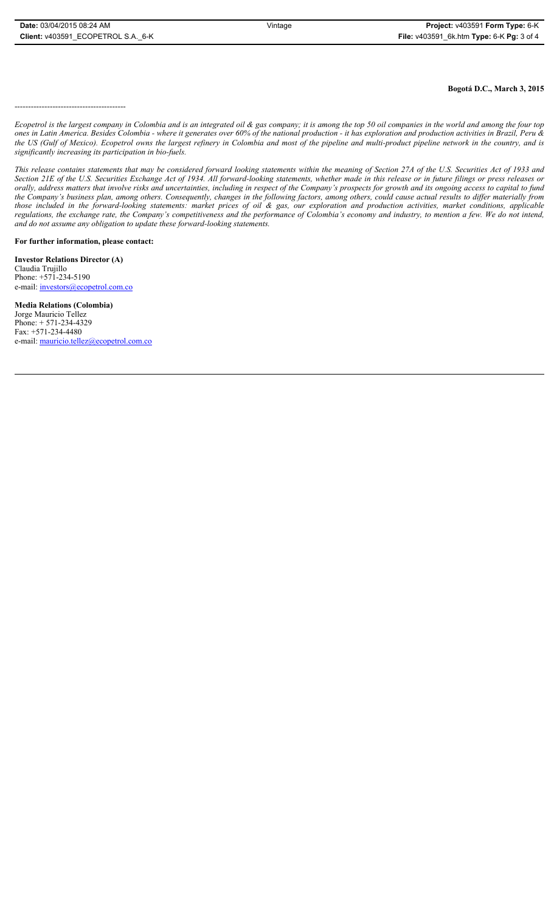**Bogotá D.C., March 3, 2015**

-----------------------------------------

*Ecopetrol is the largest company in Colombia and is an integrated oil & gas company; it is among the top 50 oil companies in the world and among the four top ones in Latin America. Besides Colombia - where it generates over 60% of the national production - it has exploration and production activities in Brazil, Peru & the US (Gulf of Mexico). Ecopetrol owns the largest refinery in Colombia and most of the pipeline and multi-product pipeline network in the country, and is significantly increasing its participation in bio-fuels.*

*This release contains statements that may be considered forward looking statements within the meaning of Section 27A of the U.S. Securities Act of 1933 and Section 21E of the U.S. Securities Exchange Act of 1934. All forward-looking statements, whether made in this release or in future filings or press releases or orally, address matters that involve risks and uncertainties, including in respect of the Company's prospects for growth and its ongoing access to capital to fund the Company's business plan, among others. Consequently, changes in the following factors, among others, could cause actual results to differ materially from those included in the forward-looking statements: market prices of oil & gas, our exploration and production activities, market conditions, applicable regulations, the exchange rate, the Company's competitiveness and the performance of Colombia's economy and industry, to mention a few. We do not intend, and do not assume any obligation to update these forward-looking statements.*

**For further information, please contact:** 

**Investor Relations Director (A)** Claudia Trujillo Phone: +571-234-5190 e-mail: investors@ecopetrol.com.co

**Media Relations (Colombia)**  Jorge Mauricio Tellez Phone: + 571-234-4329 Fax: +571-234-4480 e-mail: mauricio.tellez@ecopetrol.com.co